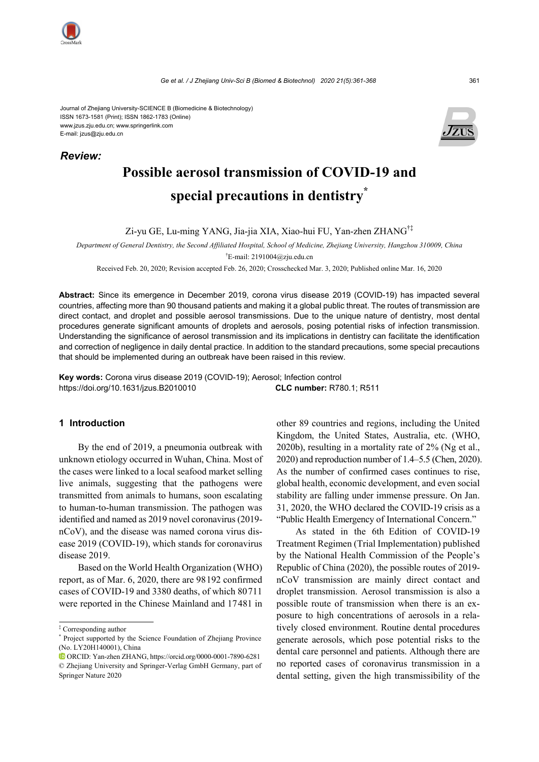Journal of Zhejiang University-SCIENCE B (Biomedicine & Biotechnology) ISSN 1673-1581 (Print); ISSN 1862-1783 (Online) www.jzus.zju.edu.cn; www.springerlink.com E-mail: jzus@zju.edu.cn





# **Possible aerosol transmission of COVID-19 and special precautions in dentistry\***

Zi-yu GE, Lu-ming YANG, Jia-jia XIA, Xiao-hui FU, Yan-zhen ZHANG†‡

*Department of General Dentistry, the Second Affiliated Hospital, School of Medicine, Zhejiang University, Hangzhou 310009, China*  † E-mail: 2191004@zju.edu.cn

Received Feb. 20, 2020; Revision accepted Feb. 26, 2020; Crosschecked Mar. 3, 2020; Published online Mar. 16, 2020

**Abstract:** Since its emergence in December 2019, corona virus disease 2019 (COVID-19) has impacted several countries, affecting more than 90 thousand patients and making it a global public threat. The routes of transmission are direct contact, and droplet and possible aerosol transmissions. Due to the unique nature of dentistry, most dental procedures generate significant amounts of droplets and aerosols, posing potential risks of infection transmission. Understanding the significance of aerosol transmission and its implications in dentistry can facilitate the identification and correction of negligence in daily dental practice. In addition to the standard precautions, some special precautions that should be implemented during an outbreak have been raised in this review.

**Key words:** Corona virus disease 2019 (COVID-19); Aerosol; Infection control https://doi.org/10.1631/jzus.B2010010 **CLC number:** R780.1; R511

#### **1 Introduction**

By the end of 2019, a pneumonia outbreak with unknown etiology occurred in Wuhan, China. Most of the cases were linked to a local seafood market selling live animals, suggesting that the pathogens were transmitted from animals to humans, soon escalating to human-to-human transmission. The pathogen was identified and named as 2019 novel coronavirus (2019 nCoV), and the disease was named corona virus disease 2019 (COVID-19), which stands for coronavirus disease 2019.

Based on the World Health Organization (WHO) report, as of Mar. 6, 2020, there are 98192 confirmed cases of COVID-19 and 3380 deaths, of which 80711 were reported in the Chinese Mainland and 17481 in

other 89 countries and regions, including the United Kingdom, the United States, Australia, etc. (WHO, 2020b), resulting in a mortality rate of 2% (Ng et al., 2020) and reproduction number of 1.4–5.5 (Chen, 2020). As the number of confirmed cases continues to rise, global health, economic development, and even social stability are falling under immense pressure. On Jan. 31, 2020, the WHO declared the COVID-19 crisis as a "Public Health Emergency of International Concern."

As stated in the 6th Edition of COVID-19 Treatment Regimen (Trial Implementation) published by the National Health Commission of the People's Republic of China (2020), the possible routes of 2019 nCoV transmission are mainly direct contact and droplet transmission. Aerosol transmission is also a possible route of transmission when there is an exposure to high concentrations of aerosols in a relatively closed environment. Routine dental procedures generate aerosols, which pose potential risks to the dental care personnel and patients. Although there are no reported cases of coronavirus transmission in a dental setting, given the high transmissibility of the

<sup>‡</sup> Corresponding author

<sup>\*</sup> Project supported by the Science Foundation of Zhejiang Province (No. LY20H140001), China

ORCID: Yan-zhen ZHANG, https://orcid.org/0000-0001-7890-6281 © Zhejiang University and Springer-Verlag GmbH Germany, part of Springer Nature 2020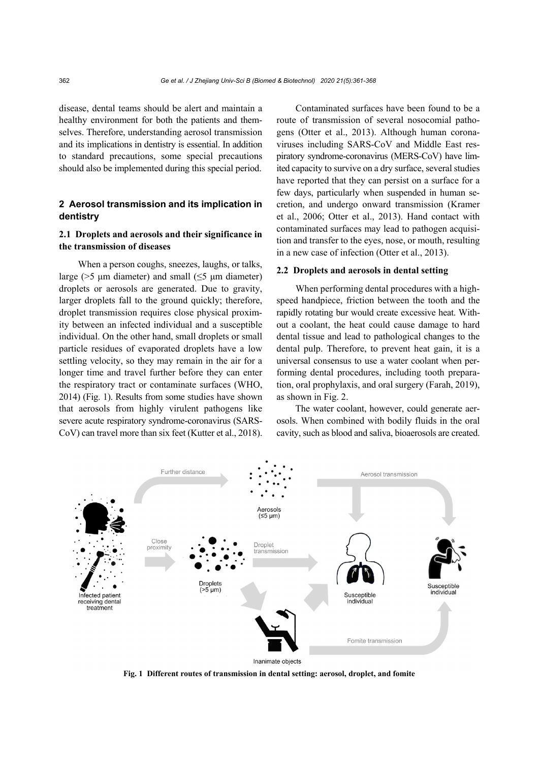disease, dental teams should be alert and maintain a healthy environment for both the patients and themselves. Therefore, understanding aerosol transmission and its implications in dentistry is essential. In addition to standard precautions, some special precautions should also be implemented during this special period.

## **2 Aerosol transmission and its implication in dentistry**

## **2.1 Droplets and aerosols and their significance in the transmission of diseases**

When a person coughs, sneezes, laughs, or talks, large ( $>5$  µm diameter) and small ( $\leq 5$  µm diameter) droplets or aerosols are generated. Due to gravity, larger droplets fall to the ground quickly; therefore, droplet transmission requires close physical proximity between an infected individual and a susceptible individual. On the other hand, small droplets or small particle residues of evaporated droplets have a low settling velocity, so they may remain in the air for a longer time and travel further before they can enter the respiratory tract or contaminate surfaces (WHO, 2014) (Fig. 1). Results from some studies have shown that aerosols from highly virulent pathogens like severe acute respiratory syndrome-coronavirus (SARS-CoV) can travel more than six feet (Kutter et al., 2018).

Contaminated surfaces have been found to be a route of transmission of several nosocomial pathogens (Otter et al., 2013). Although human coronaviruses including SARS-CoV and Middle East respiratory syndrome-coronavirus (MERS-CoV) have limited capacity to survive on a dry surface, several studies have reported that they can persist on a surface for a few days, particularly when suspended in human secretion, and undergo onward transmission (Kramer et al., 2006; Otter et al., 2013). Hand contact with contaminated surfaces may lead to pathogen acquisition and transfer to the eyes, nose, or mouth, resulting in a new case of infection (Otter et al., 2013).

#### **2.2 Droplets and aerosols in dental setting**

When performing dental procedures with a highspeed handpiece, friction between the tooth and the rapidly rotating bur would create excessive heat. Without a coolant, the heat could cause damage to hard dental tissue and lead to pathological changes to the dental pulp. Therefore, to prevent heat gain, it is a universal consensus to use a water coolant when performing dental procedures, including tooth preparation, oral prophylaxis, and oral surgery (Farah, 2019), as shown in Fig. 2.

The water coolant, however, could generate aerosols. When combined with bodily fluids in the oral cavity, such as blood and saliva, bioaerosols are created.



**Fig. 1 Different routes of transmission in dental setting: aerosol, droplet, and fomite**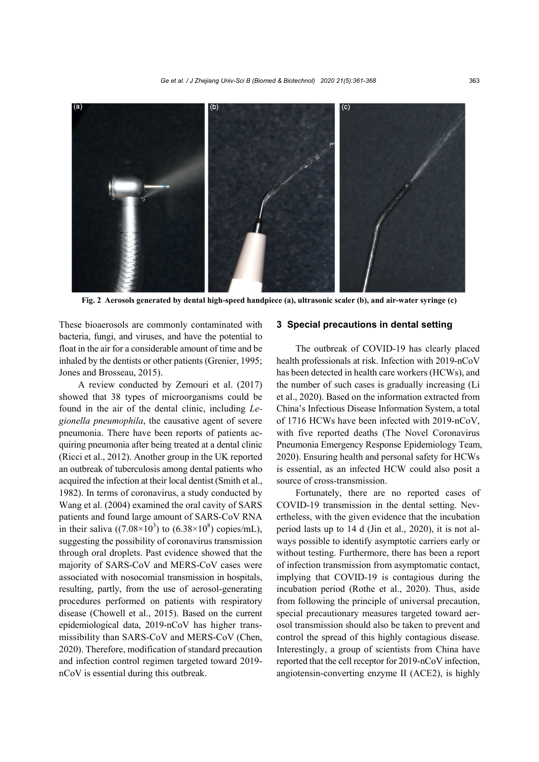

**Fig. 2 Aerosols generated by dental high-speed handpiece (a), ultrasonic scaler (b), and air-water syringe (c)** 

These bioaerosols are commonly contaminated with bacteria, fungi, and viruses, and have the potential to float in the air for a considerable amount of time and be inhaled by the dentists or other patients (Grenier, 1995; Jones and Brosseau, 2015).

A review conducted by Zemouri et al. (2017) showed that 38 types of microorganisms could be found in the air of the dental clinic, including *Legionella pneumophila*, the causative agent of severe pneumonia. There have been reports of patients acquiring pneumonia after being treated at a dental clinic (Ricci et al., 2012). Another group in the UK reported an outbreak of tuberculosis among dental patients who acquired the infection at their local dentist (Smith et al., 1982). In terms of coronavirus, a study conducted by Wang et al. (2004) examined the oral cavity of SARS patients and found large amount of SARS-CoV RNA in their saliva  $((7.08\times10^3)$  to  $(6.38\times10^8)$  copies/mL), suggesting the possibility of coronavirus transmission through oral droplets. Past evidence showed that the majority of SARS-CoV and MERS-CoV cases were associated with nosocomial transmission in hospitals, resulting, partly, from the use of aerosol-generating procedures performed on patients with respiratory disease (Chowell et al., 2015). Based on the current epidemiological data, 2019-nCoV has higher transmissibility than SARS-CoV and MERS-CoV (Chen, 2020). Therefore, modification of standard precaution and infection control regimen targeted toward 2019 nCoV is essential during this outbreak.

#### **3 Special precautions in dental setting**

The outbreak of COVID-19 has clearly placed health professionals at risk. Infection with 2019-nCoV has been detected in health care workers (HCWs), and the number of such cases is gradually increasing (Li et al., 2020). Based on the information extracted from China's Infectious Disease Information System, a total of 1716 HCWs have been infected with 2019-nCoV, with five reported deaths (The Novel Coronavirus Pneumonia Emergency Response Epidemiology Team, 2020). Ensuring health and personal safety for HCWs is essential, as an infected HCW could also posit a source of cross-transmission.

Fortunately, there are no reported cases of COVID-19 transmission in the dental setting. Nevertheless, with the given evidence that the incubation period lasts up to 14 d (Jin et al., 2020), it is not always possible to identify asymptotic carriers early or without testing. Furthermore, there has been a report of infection transmission from asymptomatic contact, implying that COVID-19 is contagious during the incubation period (Rothe et al., 2020). Thus, aside from following the principle of universal precaution, special precautionary measures targeted toward aerosol transmission should also be taken to prevent and control the spread of this highly contagious disease. Interestingly, a group of scientists from China have reported that the cell receptor for 2019-nCoV infection, angiotensin-converting enzyme II (ACE2), is highly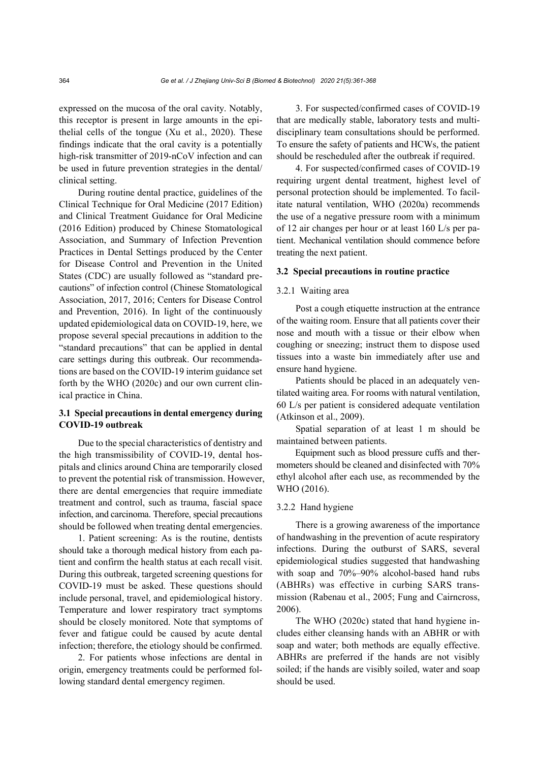expressed on the mucosa of the oral cavity. Notably, this receptor is present in large amounts in the epithelial cells of the tongue (Xu et al., 2020). These findings indicate that the oral cavity is a potentially high-risk transmitter of 2019-nCoV infection and can be used in future prevention strategies in the dental/ clinical setting.

During routine dental practice, guidelines of the Clinical Technique for Oral Medicine (2017 Edition) and Clinical Treatment Guidance for Oral Medicine (2016 Edition) produced by Chinese Stomatological Association, and Summary of Infection Prevention Practices in Dental Settings produced by the Center for Disease Control and Prevention in the United States (CDC) are usually followed as "standard precautions" of infection control (Chinese Stomatological Association, 2017, 2016; Centers for Disease Control and Prevention, 2016). In light of the continuously updated epidemiological data on COVID-19, here, we propose several special precautions in addition to the "standard precautions" that can be applied in dental care settings during this outbreak. Our recommendations are based on the COVID-19 interim guidance set forth by the WHO (2020c) and our own current clinical practice in China.

## **3.1 Special precautions in dental emergency during COVID-19 outbreak**

Due to the special characteristics of dentistry and the high transmissibility of COVID-19, dental hospitals and clinics around China are temporarily closed to prevent the potential risk of transmission. However, there are dental emergencies that require immediate treatment and control, such as trauma, fascial space infection, and carcinoma. Therefore, special precautions should be followed when treating dental emergencies.

1. Patient screening: As is the routine, dentists should take a thorough medical history from each patient and confirm the health status at each recall visit. During this outbreak, targeted screening questions for COVID-19 must be asked. These questions should include personal, travel, and epidemiological history. Temperature and lower respiratory tract symptoms should be closely monitored. Note that symptoms of fever and fatigue could be caused by acute dental infection; therefore, the etiology should be confirmed.

2. For patients whose infections are dental in origin, emergency treatments could be performed following standard dental emergency regimen.

3. For suspected/confirmed cases of COVID-19 that are medically stable, laboratory tests and multidisciplinary team consultations should be performed. To ensure the safety of patients and HCWs, the patient should be rescheduled after the outbreak if required.

4. For suspected/confirmed cases of COVID-19 requiring urgent dental treatment, highest level of personal protection should be implemented. To facilitate natural ventilation, WHO (2020a) recommends the use of a negative pressure room with a minimum of 12 air changes per hour or at least 160 L/s per patient. Mechanical ventilation should commence before treating the next patient.

#### **3.2 Special precautions in routine practice**

## 3.2.1 Waiting area

Post a cough etiquette instruction at the entrance of the waiting room. Ensure that all patients cover their nose and mouth with a tissue or their elbow when coughing or sneezing; instruct them to dispose used tissues into a waste bin immediately after use and ensure hand hygiene.

Patients should be placed in an adequately ventilated waiting area. For rooms with natural ventilation, 60 L/s per patient is considered adequate ventilation (Atkinson et al., 2009).

Spatial separation of at least 1 m should be maintained between patients.

Equipment such as blood pressure cuffs and thermometers should be cleaned and disinfected with 70% ethyl alcohol after each use, as recommended by the WHO (2016).

#### 3.2.2 Hand hygiene

There is a growing awareness of the importance of handwashing in the prevention of acute respiratory infections. During the outburst of SARS, several epidemiological studies suggested that handwashing with soap and 70%–90% alcohol-based hand rubs (ABHRs) was effective in curbing SARS transmission (Rabenau et al., 2005; Fung and Cairncross, 2006).

The WHO (2020c) stated that hand hygiene includes either cleansing hands with an ABHR or with soap and water; both methods are equally effective. ABHRs are preferred if the hands are not visibly soiled; if the hands are visibly soiled, water and soap should be used.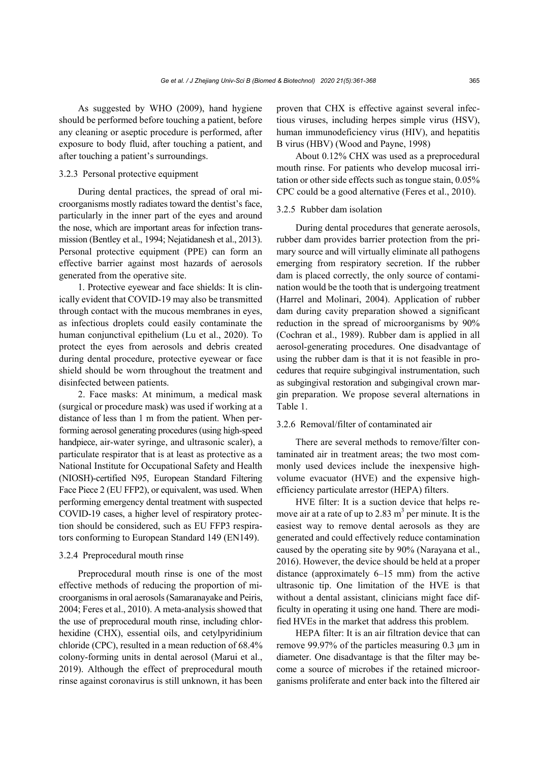As suggested by WHO (2009), hand hygiene should be performed before touching a patient, before any cleaning or aseptic procedure is performed, after exposure to body fluid, after touching a patient, and after touching a patient's surroundings.

## 3.2.3 Personal protective equipment

During dental practices, the spread of oral microorganisms mostly radiates toward the dentist's face, particularly in the inner part of the eyes and around the nose, which are important areas for infection transmission (Bentley et al., 1994; Nejatidanesh et al., 2013). Personal protective equipment (PPE) can form an effective barrier against most hazards of aerosols generated from the operative site.

1. Protective eyewear and face shields: It is clinically evident that COVID-19 may also be transmitted through contact with the mucous membranes in eyes, as infectious droplets could easily contaminate the human conjunctival epithelium (Lu et al., 2020). To protect the eyes from aerosols and debris created during dental procedure, protective eyewear or face shield should be worn throughout the treatment and disinfected between patients.

2. Face masks: At minimum, a medical mask (surgical or procedure mask) was used if working at a distance of less than 1 m from the patient. When performing aerosol generating procedures (using high-speed handpiece, air-water syringe, and ultrasonic scaler), a particulate respirator that is at least as protective as a National Institute for Occupational Safety and Health (NIOSH)-certified N95, European Standard Filtering Face Piece 2 (EU FFP2), or equivalent, was used. When performing emergency dental treatment with suspected COVID-19 cases, a higher level of respiratory protection should be considered, such as EU FFP3 respirators conforming to European Standard 149 (EN149).

#### 3.2.4 Preprocedural mouth rinse

Preprocedural mouth rinse is one of the most effective methods of reducing the proportion of microorganisms in oral aerosols (Samaranayake and Peiris, 2004; Feres et al., 2010). A meta-analysis showed that the use of preprocedural mouth rinse, including chlorhexidine (CHX), essential oils, and cetylpyridinium chloride (CPC), resulted in a mean reduction of 68.4% colony-forming units in dental aerosol (Marui et al., 2019). Although the effect of preprocedural mouth rinse against coronavirus is still unknown, it has been proven that CHX is effective against several infectious viruses, including herpes simple virus (HSV), human immunodeficiency virus (HIV), and hepatitis B virus (HBV) (Wood and Payne, 1998)

About 0.12% CHX was used as a preprocedural mouth rinse. For patients who develop mucosal irritation or other side effects such as tongue stain, 0.05% CPC could be a good alternative (Feres et al., 2010).

#### 3.2.5 Rubber dam isolation

During dental procedures that generate aerosols, rubber dam provides barrier protection from the primary source and will virtually eliminate all pathogens emerging from respiratory secretion. If the rubber dam is placed correctly, the only source of contamination would be the tooth that is undergoing treatment (Harrel and Molinari, 2004). Application of rubber dam during cavity preparation showed a significant reduction in the spread of microorganisms by 90% (Cochran et al., 1989). Rubber dam is applied in all aerosol-generating procedures. One disadvantage of using the rubber dam is that it is not feasible in procedures that require subgingival instrumentation, such as subgingival restoration and subgingival crown margin preparation. We propose several alternations in Table 1.

## 3.2.6 Removal/filter of contaminated air

There are several methods to remove/filter contaminated air in treatment areas; the two most commonly used devices include the inexpensive highvolume evacuator (HVE) and the expensive highefficiency particulate arrestor (HEPA) filters.

HVE filter: It is a suction device that helps remove air at a rate of up to 2.83  $m<sup>3</sup>$  per minute. It is the easiest way to remove dental aerosols as they are generated and could effectively reduce contamination caused by the operating site by 90% (Narayana et al., 2016). However, the device should be held at a proper distance (approximately 6–15 mm) from the active ultrasonic tip. One limitation of the HVE is that without a dental assistant, clinicians might face difficulty in operating it using one hand. There are modified HVEs in the market that address this problem.

HEPA filter: It is an air filtration device that can remove 99.97% of the particles measuring 0.3 μm in diameter. One disadvantage is that the filter may become a source of microbes if the retained microorganisms proliferate and enter back into the filtered air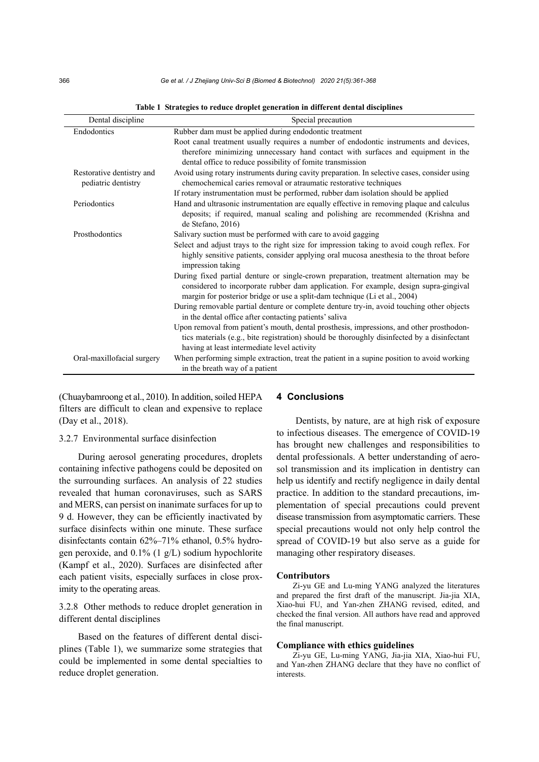| Dental discipline                                | Special precaution                                                                                                                                                                                                                                           |
|--------------------------------------------------|--------------------------------------------------------------------------------------------------------------------------------------------------------------------------------------------------------------------------------------------------------------|
| Endodontics                                      | Rubber dam must be applied during endodontic treatment                                                                                                                                                                                                       |
|                                                  | Root canal treatment usually requires a number of endodontic instruments and devices,                                                                                                                                                                        |
|                                                  | therefore minimizing unnecessary hand contact with surfaces and equipment in the<br>dental office to reduce possibility of fomite transmission                                                                                                               |
| Restorative dentistry and<br>pediatric dentistry | Avoid using rotary instruments during cavity preparation. In selective cases, consider using<br>chemochemical caries removal or atraumatic restorative techniques                                                                                            |
|                                                  | If rotary instrumentation must be performed, rubber dam isolation should be applied                                                                                                                                                                          |
| Periodontics                                     | Hand and ultrasonic instrumentation are equally effective in removing plaque and calculus<br>deposits; if required, manual scaling and polishing are recommended (Krishna and<br>de Stefano, 2016)                                                           |
| Prosthodontics                                   | Salivary suction must be performed with care to avoid gagging                                                                                                                                                                                                |
|                                                  | Select and adjust trays to the right size for impression taking to avoid cough reflex. For<br>highly sensitive patients, consider applying oral mucosa anesthesia to the throat before<br>impression taking                                                  |
|                                                  | During fixed partial denture or single-crown preparation, treatment alternation may be<br>considered to incorporate rubber dam application. For example, design supra-gingival<br>margin for posterior bridge or use a split-dam technique (Li et al., 2004) |
|                                                  | During removable partial denture or complete denture try-in, avoid touching other objects<br>in the dental office after contacting patients' saliva                                                                                                          |
|                                                  | Upon removal from patient's mouth, dental prosthesis, impressions, and other prosthodon-                                                                                                                                                                     |
|                                                  | tics materials (e.g., bite registration) should be thoroughly disinfected by a disinfectant                                                                                                                                                                  |
|                                                  | having at least intermediate level activity                                                                                                                                                                                                                  |
| Oral-maxillofacial surgery                       | When performing simple extraction, treat the patient in a supine position to avoid working<br>in the breath way of a patient                                                                                                                                 |

**Table 1 Strategies to reduce droplet generation in different dental disciplines** 

(Chuaybamroong et al., 2010). In addition, soiled HEPA filters are difficult to clean and expensive to replace (Day et al., 2018).

#### 3.2.7 Environmental surface disinfection

During aerosol generating procedures, droplets containing infective pathogens could be deposited on the surrounding surfaces. An analysis of 22 studies revealed that human coronaviruses, such as SARS and MERS, can persist on inanimate surfaces for up to 9 d. However, they can be efficiently inactivated by surface disinfects within one minute. These surface disinfectants contain 62%–71% ethanol, 0.5% hydrogen peroxide, and 0.1% (1 g/L) sodium hypochlorite (Kampf et al., 2020). Surfaces are disinfected after each patient visits, especially surfaces in close proximity to the operating areas.

3.2.8 Other methods to reduce droplet generation in different dental disciplines

Based on the features of different dental disciplines (Table 1), we summarize some strategies that could be implemented in some dental specialties to reduce droplet generation.

#### **4 Conclusions**

Dentists, by nature, are at high risk of exposure to infectious diseases. The emergence of COVID-19 has brought new challenges and responsibilities to dental professionals. A better understanding of aerosol transmission and its implication in dentistry can help us identify and rectify negligence in daily dental practice. In addition to the standard precautions, implementation of special precautions could prevent disease transmission from asymptomatic carriers. These special precautions would not only help control the spread of COVID-19 but also serve as a guide for managing other respiratory diseases.

#### **Contributors**

Zi-yu GE and Lu-ming YANG analyzed the literatures and prepared the first draft of the manuscript. Jia-jia XIA, Xiao-hui FU, and Yan-zhen ZHANG revised, edited, and checked the final version. All authors have read and approved the final manuscript.

#### **Compliance with ethics guidelines**

Zi-yu GE, Lu-ming YANG, Jia-jia XIA, Xiao-hui FU, and Yan-zhen ZHANG declare that they have no conflict of interests.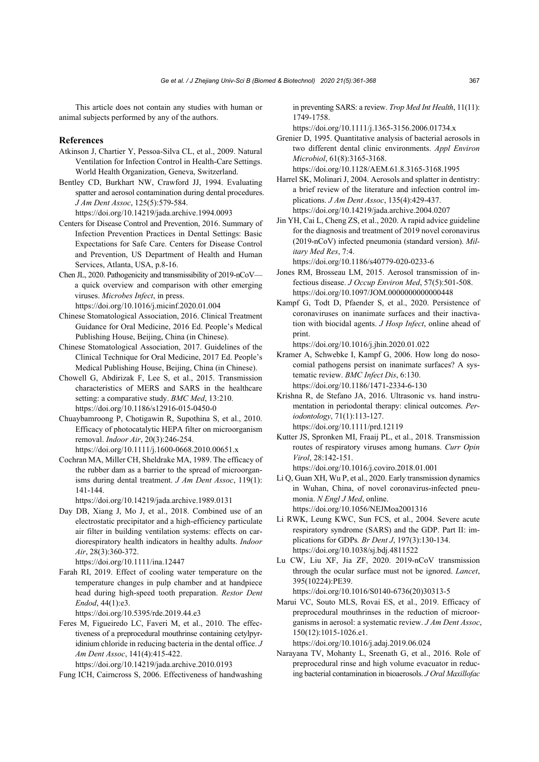This article does not contain any studies with human or animal subjects performed by any of the authors.

#### **References**

- Atkinson J, Chartier Y, Pessoa-Silva CL, et al., 2009. Natural Ventilation for Infection Control in Health-Care Settings. World Health Organization, Geneva, Switzerland.
- Bentley CD, Burkhart NW, Crawford JJ, 1994. Evaluating spatter and aerosol contamination during dental procedures. *J Am Dent Assoc*, 125(5):579-584. https://doi.org/10.14219/jada.archive.1994.0093
- Centers for Disease Control and Prevention, 2016. Summary of Infection Prevention Practices in Dental Settings: Basic Expectations for Safe Care. Centers for Disease Control and Prevention, US Department of Health and Human Services, Atlanta, USA, p.8-16.
- Chen JL, 2020. Pathogenicity and transmissibility of 2019-nCoV a quick overview and comparison with other emerging viruses. *Microbes Infect*, in press. https://doi.org/10.1016/j.micinf.2020.01.004
- Chinese Stomatological Association, 2016. Clinical Treatment Guidance for Oral Medicine, 2016 Ed. People's Medical Publishing House, Beijing, China (in Chinese).
- Chinese Stomatological Association, 2017. Guidelines of the Clinical Technique for Oral Medicine, 2017 Ed. People's Medical Publishing House, Beijing, China (in Chinese).
- Chowell G, Abdirizak F, Lee S, et al., 2015. Transmission characteristics of MERS and SARS in the healthcare setting: a comparative study. *BMC Med*, 13:210. https://doi.org/10.1186/s12916-015-0450-0
- Chuaybamroong P, Chotigawin R, Supothina S, et al., 2010. Efficacy of photocatalytic HEPA filter on microorganism removal. *Indoor Air*, 20(3):246-254.
- https://doi.org/10.1111/j.1600-0668.2010.00651.x Cochran MA, Miller CH, Sheldrake MA, 1989. The efficacy of the rubber dam as a barrier to the spread of microorganisms during dental treatment. *J Am Dent Assoc*, 119(1): 141-144.

https://doi.org/10.14219/jada.archive.1989.0131

Day DB, Xiang J, Mo J, et al., 2018. Combined use of an electrostatic precipitator and a high-efficiency particulate air filter in building ventilation systems: effects on cardiorespiratory health indicators in healthy adults. *Indoor Air*, 28(3):360-372.

https://doi.org/10.1111/ina.12447

Farah RI, 2019. Effect of cooling water temperature on the temperature changes in pulp chamber and at handpiece head during high-speed tooth preparation. *Restor Dent Endod*, 44(1):e3.

https://doi.org/10.5395/rde.2019.44.e3

Feres M, Figueiredo LC, Faveri M, et al., 2010. The effectiveness of a preprocedural mouthrinse containing cetylpyridinium chloride in reducing bacteria in the dental office. *J Am Dent Assoc*, 141(4):415-422.

https://doi.org/10.14219/jada.archive.2010.0193

Fung ICH, Cairncross S, 2006. Effectiveness of handwashing

in preventing SARS: a review. *Trop Med Int Health*, 11(11): 1749-1758.

https://doi.org/10.1111/j.1365-3156.2006.01734.x

Grenier D, 1995. Quantitative analysis of bacterial aerosols in two different dental clinic environments. *Appl Environ Microbiol*, 61(8):3165-3168.

https://doi.org/10.1128/AEM.61.8.3165-3168.1995

- Harrel SK, Molinari J, 2004. Aerosols and splatter in dentistry: a brief review of the literature and infection control implications. *J Am Dent Assoc*, 135(4):429-437. https://doi.org/10.14219/jada.archive.2004.0207
- Jin YH, Cai L, Cheng ZS, et al., 2020. A rapid advice guideline for the diagnosis and treatment of 2019 novel coronavirus (2019-nCoV) infected pneumonia (standard version). *Military Med Res*, 7:4.

https://doi.org/10.1186/s40779-020-0233-6

- Jones RM, Brosseau LM, 2015. Aerosol transmission of infectious disease. *J Occup Environ Med*, 57(5):501-508. https://doi.org/10.1097/JOM.0000000000000448
- Kampf G, Todt D, Pfaender S, et al., 2020. Persistence of coronaviruses on inanimate surfaces and their inactivation with biocidal agents. *J Hosp Infect*, online ahead of print.

https://doi.org/10.1016/j.jhin.2020.01.022

- Kramer A, Schwebke I, Kampf G, 2006. How long do nosocomial pathogens persist on inanimate surfaces? A systematic review. *BMC Infect Dis*, 6:130. https://doi.org/10.1186/1471-2334-6-130
- Krishna R, de Stefano JA, 2016. Ultrasonic vs. hand instrumentation in periodontal therapy: clinical outcomes. *Periodontology*, 71(1):113-127. https://doi.org/10.1111/prd.12119
- Kutter JS, Spronken MI, Fraaij PL, et al., 2018. Transmission routes of respiratory viruses among humans. *Curr Opin Virol*, 28:142-151.

https://doi.org/10.1016/j.coviro.2018.01.001

- Li Q, Guan XH, Wu P, et al., 2020. Early transmission dynamics in Wuhan, China, of novel coronavirus-infected pneumonia. *N Engl J Med*, online. https://doi.org/10.1056/NEJMoa2001316
- Li RWK, Leung KWC, Sun FCS, et al., 2004. Severe acute respiratory syndrome (SARS) and the GDP. Part II: implications for GDPs*. Br Dent J*, 197(3):130-134. https://doi.org/10.1038/sj.bdj.4811522
- Lu CW, Liu XF, Jia ZF, 2020. 2019-nCoV transmission through the ocular surface must not be ignored. *Lancet*, 395(10224):PE39. https://doi.org/10.1016/S0140-6736(20)30313-5
- Marui VC, Souto MLS, Rovai ES, et al., 2019. Efficacy of preprocedural mouthrinses in the reduction of microorganisms in aerosol: a systematic review. *J Am Dent Assoc*, 150(12):1015-1026.e1.

https://doi.org/10.1016/j.adaj.2019.06.024

Narayana TV, Mohanty L, Sreenath G, et al., 2016. Role of preprocedural rinse and high volume evacuator in reducing bacterial contamination in bioaerosols. *J Oral Maxillofac*